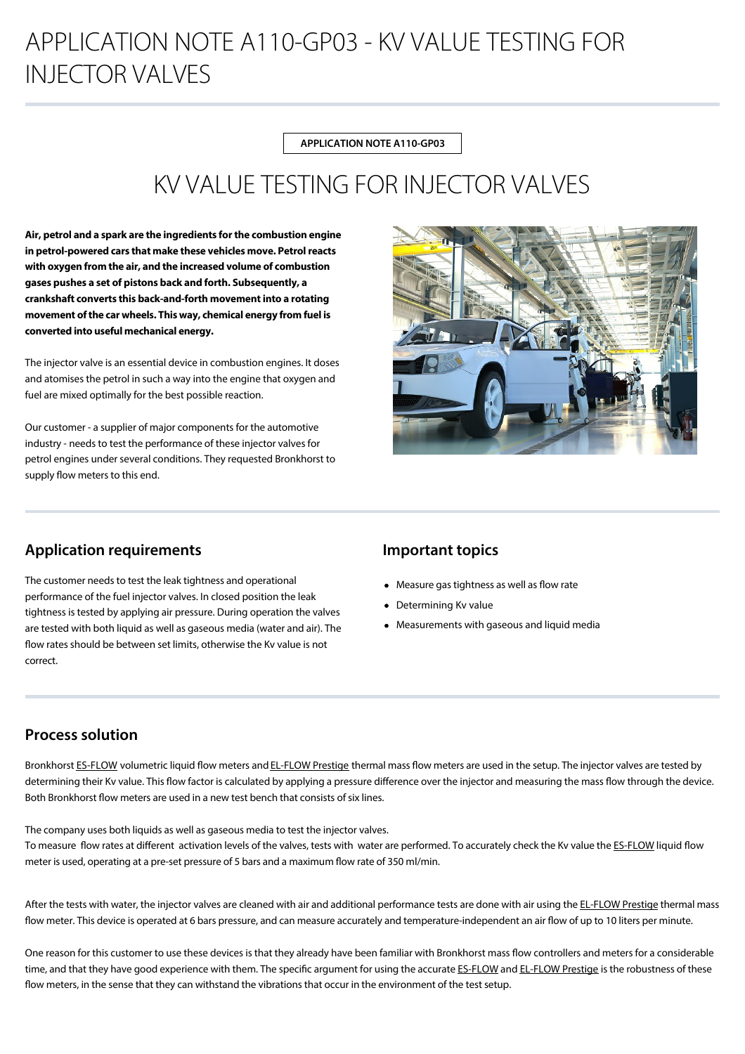# APPLICATION NOTE A110-GP03 - KV VALUE TESTING FOR INJECTOR VALVES

**APPLICATION NOTE A110-GP03**

## KV VALUE TESTING FOR INJECTOR VALVES

**Air, petrol and a spark are the ingredients for the combustion engine in petrol-powered cars that make these vehicles move. Petrol reacts with oxygen from the air, and the increased volume of combustion gases pushes a set of pistons back and forth. Subsequently, a crankshaft converts this back-and-forth movement into a rotating movement of the car wheels. This way, chemical energy from fuel is converted into useful mechanical energy.**

The injector valve is an essential device in combustion engines. It doses and atomises the petrol in such a way into the engine that oxygen and fuel are mixed optimally for the best possible reaction.

Our customer - a supplier of major components for the automotive industry - needs to test the performance of these injector valves for petrol engines under several conditions. They requested Bronkhorst to supply flow meters to this end.



## **Application requirements**

The customer needs to test the leak tightness and operational performance of the fuel injector valves. In closed position the leak tightness is tested by applying air pressure. During operation the valves are tested with both liquid as well as gaseous media (water and air). The flow rates should be between set limits, otherwise the Kv value is not correct.

## **Important topics**

- $\bullet$  Measure gas tightness as well as flow rate
- Determining Kv value
- Measurements with gaseous and liquid media

## **Process solution**

Bronkhorst [ES-FLOW](https://www.bronkhorst.com/en-us/products/liquid-flow/es-flow/) volumetric liquid flow meters and [EL-FLOW Prestige](https://www.bronkhorst.com/en-us/products/gas-flow/el-flow-prestige/) thermal mass flow meters are used in the setup. The injector valves are tested by determining their Kv value. This flow factor is calculated by applying a pressure difference over the injector and measuring the mass flow through the device. Both Bronkhorst flow meters are used in a new test bench that consists of six lines.

The company uses both liquids as well as gaseous media to test the injector valves. To measure flow rates at different activation levels of the valves, tests with water are performed. To accurately check the Kv value the [ES-FLOW](https://www.bronkhorst.com/en-us/products/liquid-flow/es-flow/) liquid flow meter is used, operating at a pre-set pressure of 5 bars and a maximum flow rate of 350 ml/min.

After the tests with water, the injector valves are cleaned with air and additional performance tests are done with air using the [EL-FLOW Prestige](https://www.bronkhorst.com/en-us/products/gas-flow/el-flow-prestige/) thermal mass flow meter. This device is operated at 6 bars pressure, and can measure accurately and temperature-independent an air flow of up to 10 liters per minute.

One reason for this customer to use these devices is that they already have been familiar with Bronkhorst mass flow controllers and meters for a considerable time, and that they have good experience with them. The specific argument for using the accurate [ES-FLOW](https://www.bronkhorst.com/en-us/products/liquid-flow/es-flow/) and [EL-FLOW Prestige](https://www.bronkhorst.com/en-us/products/gas-flow/el-flow-prestige/) is the robustness of these flow meters, in the sense that they can withstand the vibrations that occur in the environment of the test setup.